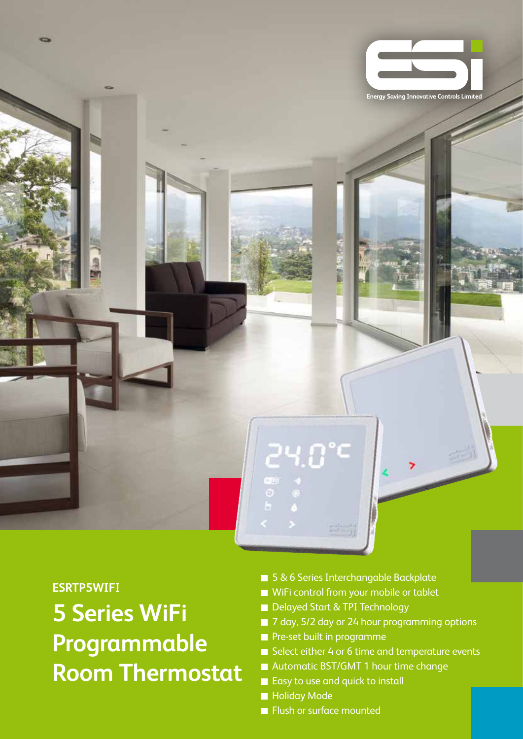

**ESRTP5WIFI**

**5 Series WiFi Programmable Room Thermostat**

- 5 & 6 Series Interchangable Backplate
- WiFi control from your mobile or tablet
- Delayed Start & TPI Technology
- 7 day, 5/2 day or 24 hour programming options
- Pre-set built in programme
- Select either 4 or 6 time and temperature events
- Automatic BST/GMT 1 hour time change
- Easy to use and quick to install
- **Holiday Mode**
- **Flush or surface mounted**